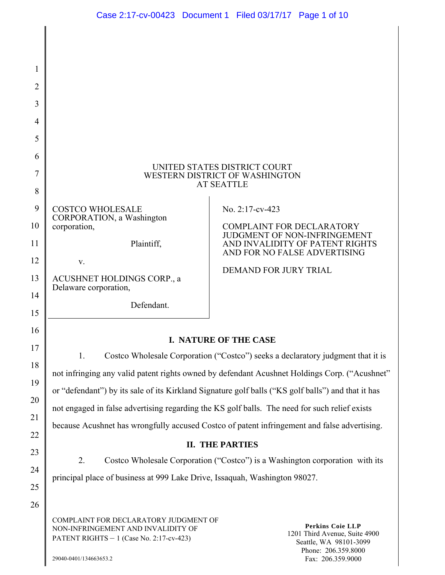| 1<br>$\overline{2}$ |                                                                                                                                                                                                                         |                                                                                               |  |  |
|---------------------|-------------------------------------------------------------------------------------------------------------------------------------------------------------------------------------------------------------------------|-----------------------------------------------------------------------------------------------|--|--|
| 3                   |                                                                                                                                                                                                                         |                                                                                               |  |  |
| 4                   |                                                                                                                                                                                                                         |                                                                                               |  |  |
| 5                   |                                                                                                                                                                                                                         |                                                                                               |  |  |
| 6                   |                                                                                                                                                                                                                         |                                                                                               |  |  |
| 7                   | UNITED STATES DISTRICT COURT<br>WESTERN DISTRICT OF WASHINGTON                                                                                                                                                          |                                                                                               |  |  |
| 8                   |                                                                                                                                                                                                                         | <b>AT SEATTLE</b>                                                                             |  |  |
| 9                   | <b>COSTCO WHOLESALE</b>                                                                                                                                                                                                 | No. 2:17-cv-423                                                                               |  |  |
| 10                  | CORPORATION, a Washington<br>corporation,                                                                                                                                                                               | <b>COMPLAINT FOR DECLARATORY</b><br>JUDGMENT OF NON-INFRINGEMENT                              |  |  |
| 11                  | Plaintiff,                                                                                                                                                                                                              | AND INVALIDITY OF PATENT RIGHTS<br>AND FOR NO FALSE ADVERTISING                               |  |  |
| 12                  | $V_{\cdot}$                                                                                                                                                                                                             | <b>DEMAND FOR JURY TRIAL</b>                                                                  |  |  |
| 13                  | ACUSHNET HOLDINGS CORP., a<br>Delaware corporation,                                                                                                                                                                     |                                                                                               |  |  |
| 14                  | Defendant.                                                                                                                                                                                                              |                                                                                               |  |  |
| 15                  |                                                                                                                                                                                                                         |                                                                                               |  |  |
| 16<br>17            | I. NATURE OF THE CASE<br>Costco Wholesale Corporation ("Costco") seeks a declaratory judgment that it is<br>1.                                                                                                          |                                                                                               |  |  |
| 18                  |                                                                                                                                                                                                                         |                                                                                               |  |  |
| 19                  |                                                                                                                                                                                                                         | not infringing any valid patent rights owned by defendant Acushnet Holdings Corp. ("Acushnet" |  |  |
| 20                  | or "defendant") by its sale of its Kirkland Signature golf balls ("KS golf balls") and that it has                                                                                                                      |                                                                                               |  |  |
| 21                  | not engaged in false advertising regarding the KS golf balls. The need for such relief exists<br>because Acushnet has wrongfully accused Costco of patent infringement and false advertising.<br><b>II. THE PARTIES</b> |                                                                                               |  |  |
| 22                  |                                                                                                                                                                                                                         |                                                                                               |  |  |
| 23                  |                                                                                                                                                                                                                         |                                                                                               |  |  |
| 24                  | 2.<br>Costco Wholesale Corporation ("Costco") is a Washington corporation with its                                                                                                                                      |                                                                                               |  |  |
| 25                  | principal place of business at 999 Lake Drive, Issaquah, Washington 98027.                                                                                                                                              |                                                                                               |  |  |
| 26                  |                                                                                                                                                                                                                         |                                                                                               |  |  |
|                     | COMPLAINT FOR DECLARATORY JUDGMENT OF<br>NON-INFRINGEMENT AND INVALIDITY OF<br>PATENT RIGHTS $-1$ (Case No. 2:17-cv-423)                                                                                                | <b>Perkins Coie LLP</b><br>1201 Third Avenue, Suite 4900<br>Seattle, WA 98101-3099            |  |  |

Phone: 206.359.8000 Fax: 206.359.9000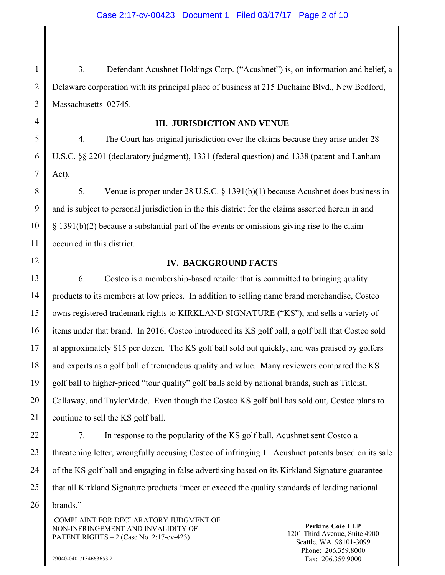1 2 3 3. Defendant Acushnet Holdings Corp. ("Acushnet") is, on information and belief, a Delaware corporation with its principal place of business at 215 Duchaine Blvd., New Bedford, Massachusetts 02745.

4

#### **III. JURISDICTION AND VENUE**

5 6 7 4. The Court has original jurisdiction over the claims because they arise under 28 U.S.C. §§ 2201 (declaratory judgment), 1331 (federal question) and 1338 (patent and Lanham Act).

8 9 10 11 5. Venue is proper under 28 U.S.C. § 1391(b)(1) because Acushnet does business in and is subject to personal jurisdiction in the this district for the claims asserted herein in and § 1391(b)(2) because a substantial part of the events or omissions giving rise to the claim occurred in this district.

12

#### **IV. BACKGROUND FACTS**

13 14 15 16 17 18 19 20 21 6. Costco is a membership-based retailer that is committed to bringing quality products to its members at low prices. In addition to selling name brand merchandise, Costco owns registered trademark rights to KIRKLAND SIGNATURE ("KS"), and sells a variety of items under that brand. In 2016, Costco introduced its KS golf ball, a golf ball that Costco sold at approximately \$15 per dozen. The KS golf ball sold out quickly, and was praised by golfers and experts as a golf ball of tremendous quality and value. Many reviewers compared the KS golf ball to higher-priced "tour quality" golf balls sold by national brands, such as Titleist, Callaway, and TaylorMade. Even though the Costco KS golf ball has sold out, Costco plans to continue to sell the KS golf ball.

22 23 24 25 26 7. In response to the popularity of the KS golf ball, Acushnet sent Costco a threatening letter, wrongfully accusing Costco of infringing 11 Acushnet patents based on its sale of the KS golf ball and engaging in false advertising based on its Kirkland Signature guarantee that all Kirkland Signature products "meet or exceed the quality standards of leading national brands."

 COMPLAINT FOR DECLARATORY JUDGMENT OF NON-INFRINGEMENT AND INVALIDITY OF PATENT RIGHTS – 2 (Case No. 2:17-cv-423)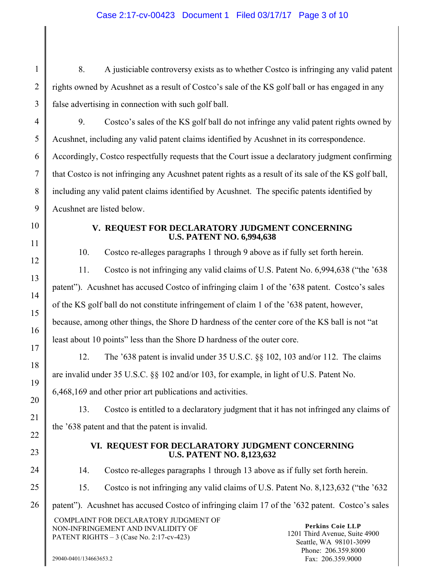## Case 2:17-cv-00423 Document 1 Filed 03/17/17 Page 3 of 10

1 2 3 8. A justiciable controversy exists as to whether Costco is infringing any valid patent rights owned by Acushnet as a result of Costco's sale of the KS golf ball or has engaged in any false advertising in connection with such golf ball.

4 5 6 7 8 9 9. Costco's sales of the KS golf ball do not infringe any valid patent rights owned by Acushnet, including any valid patent claims identified by Acushnet in its correspondence. Accordingly, Costco respectfully requests that the Court issue a declaratory judgment confirming that Costco is not infringing any Acushnet patent rights as a result of its sale of the KS golf ball, including any valid patent claims identified by Acushnet. The specific patents identified by Acushnet are listed below.

- 10
- 11

12

13

14

15

16

17

18

19

20

21

22

23

24

25

### **V. REQUEST FOR DECLARATORY JUDGMENT CONCERNING U.S. PATENT NO. 6,994,638**

10. Costco re-alleges paragraphs 1 through 9 above as if fully set forth herein.

11. Costco is not infringing any valid claims of U.S. Patent No. 6,994,638 ("the '638 patent"). Acushnet has accused Costco of infringing claim 1 of the '638 patent. Costco's sales of the KS golf ball do not constitute infringement of claim 1 of the '638 patent, however, because, among other things, the Shore D hardness of the center core of the KS ball is not "at least about 10 points" less than the Shore D hardness of the outer core.

12. The '638 patent is invalid under 35 U.S.C. §§ 102, 103 and/or 112. The claims are invalid under 35 U.S.C. §§ 102 and/or 103, for example, in light of U.S. Patent No.

6,468,169 and other prior art publications and activities.

13. Costco is entitled to a declaratory judgment that it has not infringed any claims of the '638 patent and that the patent is invalid.

### **VI. REQUEST FOR DECLARATORY JUDGMENT CONCERNING U.S. PATENT NO. 8,123,632**

14. Costco re-alleges paragraphs 1 through 13 above as if fully set forth herein.

15. Costco is not infringing any valid claims of U.S. Patent No. 8,123,632 ("the '632

26 patent"). Acushnet has accused Costco of infringing claim 17 of the '632 patent. Costco's sales

 COMPLAINT FOR DECLARATORY JUDGMENT OF NON-INFRINGEMENT AND INVALIDITY OF PATENT RIGHTS – 3 (Case No. 2:17-cv-423)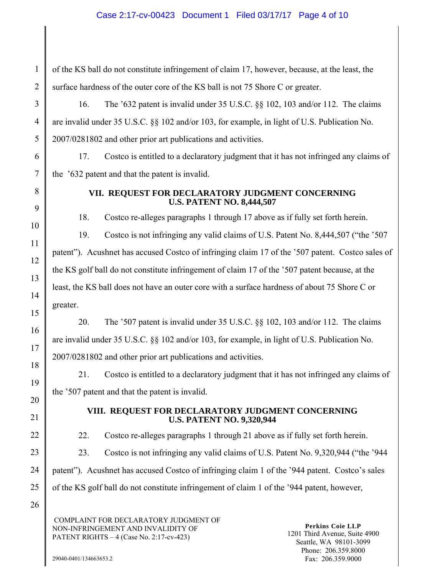### Case 2:17-cv-00423 Document 1 Filed 03/17/17 Page 4 of 10

of the KS ball do not constitute infringement of claim 17, however, because, at the least, the surface hardness of the outer core of the KS ball is not 75 Shore C or greater.

16. The '632 patent is invalid under 35 U.S.C. §§ 102, 103 and/or 112. The claims are invalid under 35 U.S.C. §§ 102 and/or 103, for example, in light of U.S. Publication No. 2007/0281802 and other prior art publications and activities.

17. Costco is entitled to a declaratory judgment that it has not infringed any claims of the '632 patent and that the patent is invalid.

1

2

3

4

5

6

7

8

9

10

11

12

13

14

15

16

17

18

19

20

22

23

#### **VII. REQUEST FOR DECLARATORY JUDGMENT CONCERNING U.S. PATENT NO. 8,444,507**

18. Costco re-alleges paragraphs 1 through 17 above as if fully set forth herein.

19. Costco is not infringing any valid claims of U.S. Patent No. 8,444,507 ("the '507

patent"). Acushnet has accused Costco of infringing claim 17 of the '507 patent. Costco sales of the KS golf ball do not constitute infringement of claim 17 of the '507 patent because, at the least, the KS ball does not have an outer core with a surface hardness of about 75 Shore C or greater.

20. The '507 patent is invalid under 35 U.S.C. §§ 102, 103 and/or 112. The claims are invalid under 35 U.S.C. §§ 102 and/or 103, for example, in light of U.S. Publication No. 2007/0281802 and other prior art publications and activities.

21. Costco is entitled to a declaratory judgment that it has not infringed any claims of the '507 patent and that the patent is invalid.

21

#### **VIII. REQUEST FOR DECLARATORY JUDGMENT CONCERNING U.S. PATENT NO. 9,320,944**

22. Costco re-alleges paragraphs 1 through 21 above as if fully set forth herein.

23. Costco is not infringing any valid claims of U.S. Patent No. 9,320,944 ("the '944

24 patent"). Acushnet has accused Costco of infringing claim 1 of the '944 patent. Costco's sales

25 of the KS golf ball do not constitute infringement of claim 1 of the '944 patent, however,

26

 COMPLAINT FOR DECLARATORY JUDGMENT OF NON-INFRINGEMENT AND INVALIDITY OF PATENT RIGHTS – 4 (Case No. 2:17-cv-423)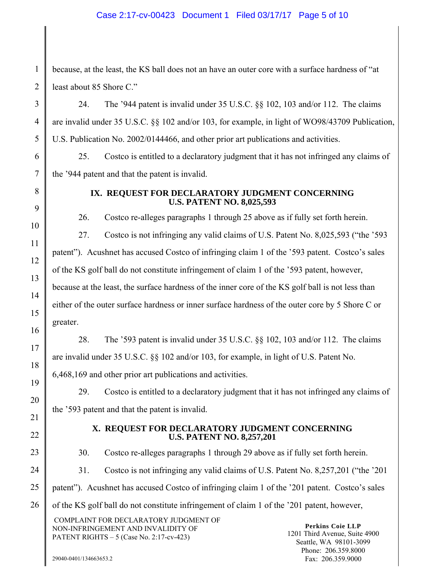#### Case 2:17-cv-00423 Document 1 Filed 03/17/17 Page 5 of 10

because, at the least, the KS ball does not an have an outer core with a surface hardness of "at least about 85 Shore C."

24. The '944 patent is invalid under 35 U.S.C. §§ 102, 103 and/or 112. The claims are invalid under 35 U.S.C. §§ 102 and/or 103, for example, in light of WO98/43709 Publication, U.S. Publication No. 2002/0144466, and other prior art publications and activities.

25. Costco is entitled to a declaratory judgment that it has not infringed any claims of the '944 patent and that the patent is invalid.

1

2

3

4

5

6

7

8

9

10

11

12

13

14

15

16

17

18

19

20

21

22

23

24

#### **IX. REQUEST FOR DECLARATORY JUDGMENT CONCERNING U.S. PATENT NO. 8,025,593**

26. Costco re-alleges paragraphs 1 through 25 above as if fully set forth herein.

27. Costco is not infringing any valid claims of U.S. Patent No. 8,025,593 ("the '593 patent"). Acushnet has accused Costco of infringing claim 1 of the '593 patent. Costco's sales of the KS golf ball do not constitute infringement of claim 1 of the '593 patent, however, because at the least, the surface hardness of the inner core of the KS golf ball is not less than either of the outer surface hardness or inner surface hardness of the outer core by 5 Shore C or greater.

28. The '593 patent is invalid under 35 U.S.C. §§ 102, 103 and/or 112. The claims are invalid under 35 U.S.C. §§ 102 and/or 103, for example, in light of U.S. Patent No. 6,468,169 and other prior art publications and activities.

29. Costco is entitled to a declaratory judgment that it has not infringed any claims of the '593 patent and that the patent is invalid.

#### **X. REQUEST FOR DECLARATORY JUDGMENT CONCERNING U.S. PATENT NO. 8,257,201**

30. Costco re-alleges paragraphs 1 through 29 above as if fully set forth herein.

31. Costco is not infringing any valid claims of U.S. Patent No. 8,257,201 ("the '201

25 patent"). Acushnet has accused Costco of infringing claim 1 of the '201 patent. Costco's sales

26 of the KS golf ball do not constitute infringement of claim 1 of the '201 patent, however,

 COMPLAINT FOR DECLARATORY JUDGMENT OF NON-INFRINGEMENT AND INVALIDITY OF PATENT RIGHTS – 5 (Case No. 2:17-cv-423)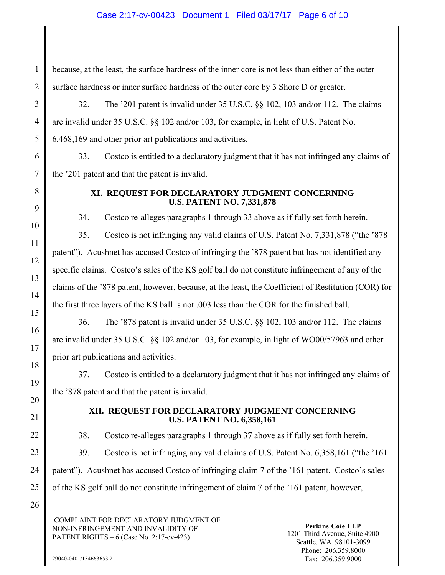### Case 2:17-cv-00423 Document 1 Filed 03/17/17 Page 6 of 10

because, at the least, the surface hardness of the inner core is not less than either of the outer surface hardness or inner surface hardness of the outer core by 3 Shore D or greater.

32. The '201 patent is invalid under 35 U.S.C. §§ 102, 103 and/or 112. The claims are invalid under 35 U.S.C. §§ 102 and/or 103, for example, in light of U.S. Patent No. 6,468,169 and other prior art publications and activities.

33. Costco is entitled to a declaratory judgment that it has not infringed any claims of the '201 patent and that the patent is invalid.

1

2

3

4

5

6

7

8

9

10

11

12

13

14

15

16

17

18

19

20

22

23

#### **XI. REQUEST FOR DECLARATORY JUDGMENT CONCERNING U.S. PATENT NO. 7,331,878**

34. Costco re-alleges paragraphs 1 through 33 above as if fully set forth herein.

35. Costco is not infringing any valid claims of U.S. Patent No. 7,331,878 ("the '878 patent"). Acushnet has accused Costco of infringing the '878 patent but has not identified any specific claims. Costco's sales of the KS golf ball do not constitute infringement of any of the claims of the '878 patent, however, because, at the least, the Coefficient of Restitution (COR) for the first three layers of the KS ball is not .003 less than the COR for the finished ball.

36. The '878 patent is invalid under 35 U.S.C. §§ 102, 103 and/or 112. The claims are invalid under 35 U.S.C. §§ 102 and/or 103, for example, in light of WO00/57963 and other prior art publications and activities.

37. Costco is entitled to a declaratory judgment that it has not infringed any claims of the '878 patent and that the patent is invalid.

21

#### **XII. REQUEST FOR DECLARATORY JUDGMENT CONCERNING U.S. PATENT NO. 6,358,161**

38. Costco re-alleges paragraphs 1 through 37 above as if fully set forth herein.

39. Costco is not infringing any valid claims of U.S. Patent No. 6,358,161 ("the '161

24 patent"). Acushnet has accused Costco of infringing claim 7 of the '161 patent. Costco's sales

25 of the KS golf ball do not constitute infringement of claim 7 of the '161 patent, however,

26

 COMPLAINT FOR DECLARATORY JUDGMENT OF NON-INFRINGEMENT AND INVALIDITY OF PATENT RIGHTS – 6 (Case No. 2:17-cv-423)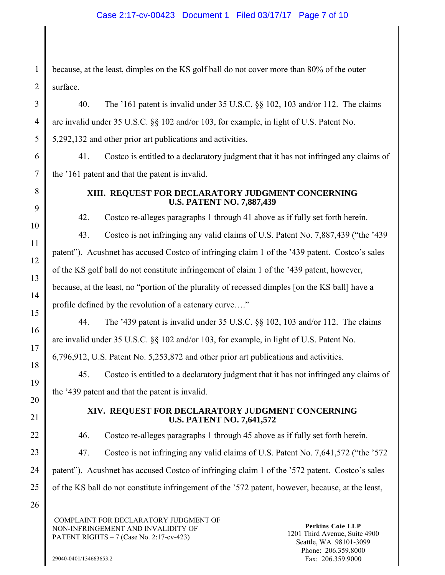because, at the least, dimples on the KS golf ball do not cover more than 80% of the outer surface.

3 4 5 40. The '161 patent is invalid under 35 U.S.C. §§ 102, 103 and/or 112. The claims are invalid under 35 U.S.C. §§ 102 and/or 103, for example, in light of U.S. Patent No. 5,292,132 and other prior art publications and activities.

6 7 41. Costco is entitled to a declaratory judgment that it has not infringed any claims of the '161 patent and that the patent is invalid.

8

9

10

11

12

13

14

15

16

17

18

19

20

22

23

1

2

#### **XIII. REQUEST FOR DECLARATORY JUDGMENT CONCERNING U.S. PATENT NO. 7,887,439**

42. Costco re-alleges paragraphs 1 through 41 above as if fully set forth herein.

43. Costco is not infringing any valid claims of U.S. Patent No. 7,887,439 ("the '439 patent"). Acushnet has accused Costco of infringing claim 1 of the '439 patent. Costco's sales of the KS golf ball do not constitute infringement of claim 1 of the '439 patent, however, because, at the least, no "portion of the plurality of recessed dimples [on the KS ball] have a profile defined by the revolution of a catenary curve…."

44. The '439 patent is invalid under 35 U.S.C. §§ 102, 103 and/or 112. The claims are invalid under 35 U.S.C. §§ 102 and/or 103, for example, in light of U.S. Patent No.

6,796,912, U.S. Patent No. 5,253,872 and other prior art publications and activities.

45. Costco is entitled to a declaratory judgment that it has not infringed any claims of the '439 patent and that the patent is invalid.

21

#### **XIV. REQUEST FOR DECLARATORY JUDGMENT CONCERNING U.S. PATENT NO. 7,641,572**

46. Costco re-alleges paragraphs 1 through 45 above as if fully set forth herein.

47. Costco is not infringing any valid claims of U.S. Patent No. 7,641,572 ("the '572

24 patent"). Acushnet has accused Costco of infringing claim 1 of the '572 patent. Costco's sales

25 of the KS ball do not constitute infringement of the '572 patent, however, because, at the least,

26

 COMPLAINT FOR DECLARATORY JUDGMENT OF NON-INFRINGEMENT AND INVALIDITY OF PATENT RIGHTS – 7 (Case No. 2:17-cv-423)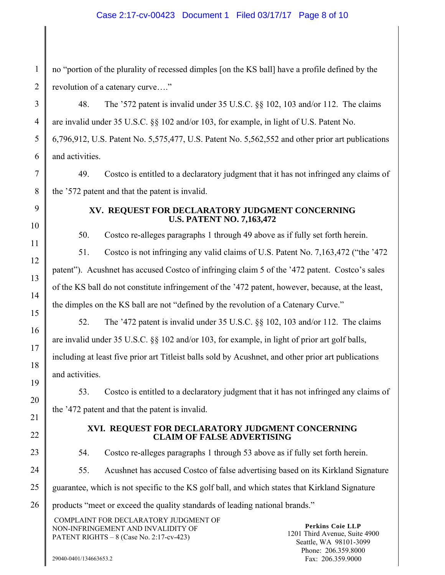#### Case 2:17-cv-00423 Document 1 Filed 03/17/17 Page 8 of 10

no "portion of the plurality of recessed dimples [on the KS ball] have a profile defined by the revolution of a catenary curve…."

3 4 5 6 48. The '572 patent is invalid under 35 U.S.C. §§ 102, 103 and/or 112. The claims are invalid under 35 U.S.C. §§ 102 and/or 103, for example, in light of U.S. Patent No. 6,796,912, U.S. Patent No. 5,575,477, U.S. Patent No. 5,562,552 and other prior art publications and activities.

49. Costco is entitled to a declaratory judgment that it has not infringed any claims of the '572 patent and that the patent is invalid.

9 10

11

12

13

14

15

16

17

18

19

20

21

22

23

24

7

8

1

2

#### **XV. REQUEST FOR DECLARATORY JUDGMENT CONCERNING U.S. PATENT NO. 7,163,472**

50. Costco re-alleges paragraphs 1 through 49 above as if fully set forth herein.

51. Costco is not infringing any valid claims of U.S. Patent No. 7,163,472 ("the '472 patent"). Acushnet has accused Costco of infringing claim 5 of the '472 patent. Costco's sales of the KS ball do not constitute infringement of the '472 patent, however, because, at the least, the dimples on the KS ball are not "defined by the revolution of a Catenary Curve."

52. The '472 patent is invalid under 35 U.S.C. §§ 102, 103 and/or 112. The claims are invalid under 35 U.S.C. §§ 102 and/or 103, for example, in light of prior art golf balls,

including at least five prior art Titleist balls sold by Acushnet, and other prior art publications and activities.

53. Costco is entitled to a declaratory judgment that it has not infringed any claims of the '472 patent and that the patent is invalid.

### **XVI. REQUEST FOR DECLARATORY JUDGMENT CONCERNING CLAIM OF FALSE ADVERTISING**

54. Costco re-alleges paragraphs 1 through 53 above as if fully set forth herein.

55. Acushnet has accused Costco of false advertising based on its Kirkland Signature

25 guarantee, which is not specific to the KS golf ball, and which states that Kirkland Signature

26 products "meet or exceed the quality standards of leading national brands."

 COMPLAINT FOR DECLARATORY JUDGMENT OF NON-INFRINGEMENT AND INVALIDITY OF PATENT RIGHTS – 8 (Case No. 2:17-cv-423)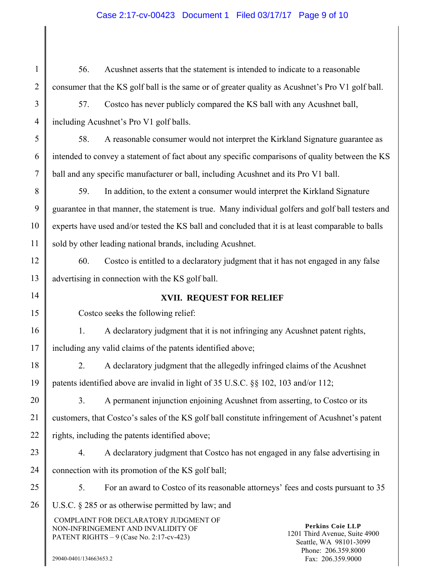# Case 2:17-cv-00423 Document 1 Filed 03/17/17 Page 9 of 10

| $\mathbf{1}$   | 56.                                                                                                | Acushnet asserts that the statement is intended to indicate to a reasonable                                                                                                                                                          |  |
|----------------|----------------------------------------------------------------------------------------------------|--------------------------------------------------------------------------------------------------------------------------------------------------------------------------------------------------------------------------------------|--|
| $\overline{2}$ | consumer that the KS golf ball is the same or of greater quality as Acushnet's Pro V1 golf ball.   |                                                                                                                                                                                                                                      |  |
| 3              | 57.                                                                                                | Costco has never publicly compared the KS ball with any Acushnet ball,                                                                                                                                                               |  |
| $\overline{4}$ | including Acushnet's Pro V1 golf balls.                                                            |                                                                                                                                                                                                                                      |  |
| 5              | 58.                                                                                                | A reasonable consumer would not interpret the Kirkland Signature guarantee as                                                                                                                                                        |  |
| 6              | intended to convey a statement of fact about any specific comparisons of quality between the KS    |                                                                                                                                                                                                                                      |  |
| $\tau$         | ball and any specific manufacturer or ball, including Acushnet and its Pro V1 ball.                |                                                                                                                                                                                                                                      |  |
| 8              | 59.                                                                                                | In addition, to the extent a consumer would interpret the Kirkland Signature                                                                                                                                                         |  |
| 9              | guarantee in that manner, the statement is true. Many individual golfers and golf ball testers and |                                                                                                                                                                                                                                      |  |
| 10             | experts have used and/or tested the KS ball and concluded that it is at least comparable to balls  |                                                                                                                                                                                                                                      |  |
| 11             | sold by other leading national brands, including Acushnet.                                         |                                                                                                                                                                                                                                      |  |
| 12             | 60.                                                                                                | Costco is entitled to a declaratory judgment that it has not engaged in any false                                                                                                                                                    |  |
| 13             | advertising in connection with the KS golf ball.                                                   |                                                                                                                                                                                                                                      |  |
| 14             | <b>XVII. REQUEST FOR RELIEF</b>                                                                    |                                                                                                                                                                                                                                      |  |
| 15             | Costco seeks the following relief:                                                                 |                                                                                                                                                                                                                                      |  |
| 16             | 1.                                                                                                 | A declaratory judgment that it is not infringing any Acushnet patent rights,                                                                                                                                                         |  |
| 17             | including any valid claims of the patents identified above;                                        |                                                                                                                                                                                                                                      |  |
| 18             | 2.                                                                                                 | A declaratory judgment that the allegedly infringed claims of the Acushnet                                                                                                                                                           |  |
| 19             | patents identified above are invalid in light of 35 U.S.C. §§ 102, 103 and/or 112;                 |                                                                                                                                                                                                                                      |  |
| 20             | 3.                                                                                                 | A permanent injunction enjoining Acushnet from asserting, to Costco or its                                                                                                                                                           |  |
| 21             | customers, that Costco's sales of the KS golf ball constitute infringement of Acushnet's patent    |                                                                                                                                                                                                                                      |  |
| 22             | rights, including the patents identified above;                                                    |                                                                                                                                                                                                                                      |  |
| 23             | 4.                                                                                                 | A declaratory judgment that Costco has not engaged in any false advertising in                                                                                                                                                       |  |
| 24             | connection with its promotion of the KS golf ball;                                                 |                                                                                                                                                                                                                                      |  |
| 25             | 5.                                                                                                 | For an award to Costco of its reasonable attorneys' fees and costs pursuant to 35                                                                                                                                                    |  |
| 26             |                                                                                                    | U.S.C. $\S$ 285 or as otherwise permitted by law; and                                                                                                                                                                                |  |
|                |                                                                                                    | COMPLAINT FOR DECLARATORY JUDGMENT OF<br><b>Perkins Coie LLP</b><br>NON-INFRINGEMENT AND INVALIDITY OF<br>1201 Third Avenue, Suite 4900<br>PATENT RIGHTS - 9 (Case No. 2:17-cv-423)<br>Seattle, WA 98101-3099<br>Phone: 206.359.8000 |  |
|                | 29040-0401/134663653.2                                                                             | Fax: 206.359.9000                                                                                                                                                                                                                    |  |